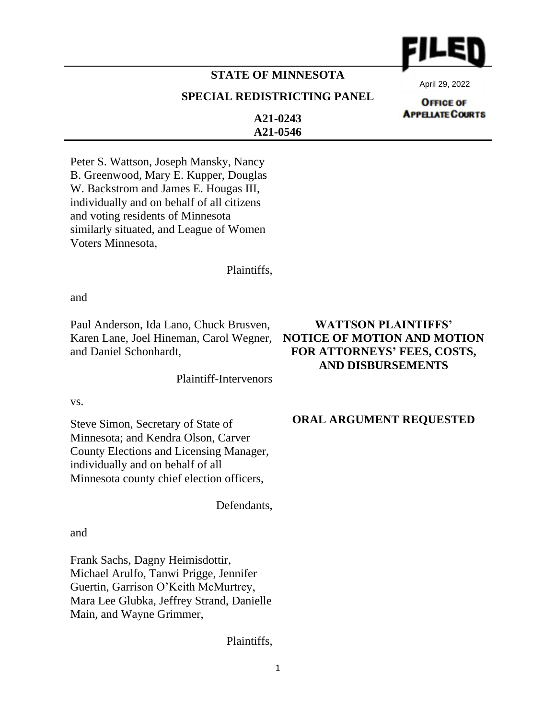

# **STATE OF MINNESOTA**

## **SPECIAL REDISTRICTING PANEL**

April 29, 2022

**OFFICE OF APPELATE COURTS** 

**A21-0243 A21-0546**

Peter S. Wattson, Joseph Mansky, Nancy B. Greenwood, Mary E. Kupper, Douglas W. Backstrom and James E. Hougas III, individually and on behalf of all citizens and voting residents of Minnesota similarly situated, and League of Women Voters Minnesota,

Plaintiffs,

and

Paul Anderson, Ida Lano, Chuck Brusven, Karen Lane, Joel Hineman, Carol Wegner, and Daniel Schonhardt,

Plaintiff-Intervenors

vs.

Steve Simon, Secretary of State of Minnesota; and Kendra Olson, Carver County Elections and Licensing Manager, individually and on behalf of all Minnesota county chief election officers,

Defendants,

and

Frank Sachs, Dagny Heimisdottir, Michael Arulfo, Tanwi Prigge, Jennifer Guertin, Garrison O'Keith McMurtrey, Mara Lee Glubka, Jeffrey Strand, Danielle Main, and Wayne Grimmer,

Plaintiffs,

# **WATTSON PLAINTIFFS' NOTICE OF MOTION AND MOTION FOR ATTORNEYS' FEES, COSTS, AND DISBURSEMENTS**

### **ORAL ARGUMENT REQUESTED**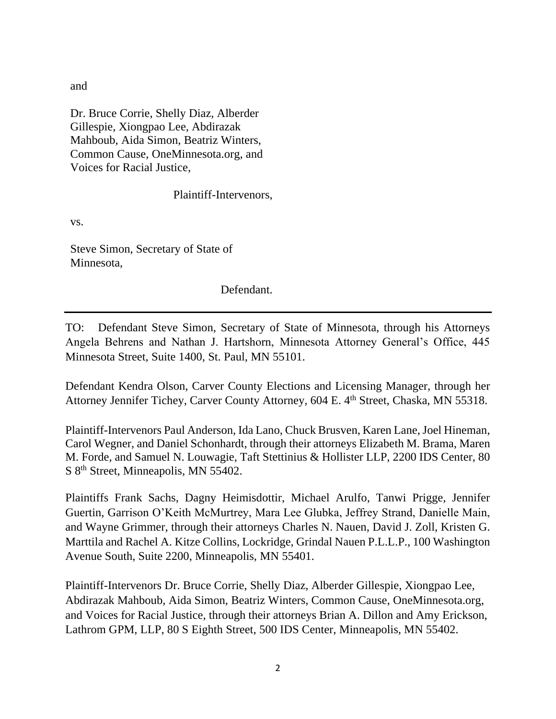and

Dr. Bruce Corrie, Shelly Diaz, Alberder Gillespie, Xiongpao Lee, Abdirazak Mahboub, Aida Simon, Beatriz Winters, Common Cause, OneMinnesota.org, and Voices for Racial Justice,

Plaintiff-Intervenors,

vs.

Steve Simon, Secretary of State of Minnesota,

Defendant.

TO: Defendant Steve Simon, Secretary of State of Minnesota, through his Attorneys Angela Behrens and Nathan J. Hartshorn, Minnesota Attorney General's Office, 445 Minnesota Street, Suite 1400, St. Paul, MN 55101.

Defendant Kendra Olson, Carver County Elections and Licensing Manager, through her Attorney Jennifer Tichey, Carver County Attorney, 604 E. 4<sup>th</sup> Street, Chaska, MN 55318.

Plaintiff-Intervenors Paul Anderson, Ida Lano, Chuck Brusven, Karen Lane, Joel Hineman, Carol Wegner, and Daniel Schonhardt, through their attorneys Elizabeth M. Brama, Maren M. Forde, and Samuel N. Louwagie, Taft Stettinius & Hollister LLP, 2200 IDS Center, 80 S 8<sup>th</sup> Street, Minneapolis, MN 55402.

Plaintiffs Frank Sachs, Dagny Heimisdottir, Michael Arulfo, Tanwi Prigge, Jennifer Guertin, Garrison O'Keith McMurtrey, Mara Lee Glubka, Jeffrey Strand, Danielle Main, and Wayne Grimmer, through their attorneys Charles N. Nauen, David J. Zoll, Kristen G. Marttila and Rachel A. Kitze Collins, Lockridge, Grindal Nauen P.L.L.P., 100 Washington Avenue South, Suite 2200, Minneapolis, MN 55401.

Plaintiff-Intervenors Dr. Bruce Corrie, Shelly Diaz, Alberder Gillespie, Xiongpao Lee, Abdirazak Mahboub, Aida Simon, Beatriz Winters, Common Cause, OneMinnesota.org, and Voices for Racial Justice, through their attorneys Brian A. Dillon and Amy Erickson, Lathrom GPM, LLP, 80 S Eighth Street, 500 IDS Center, Minneapolis, MN 55402.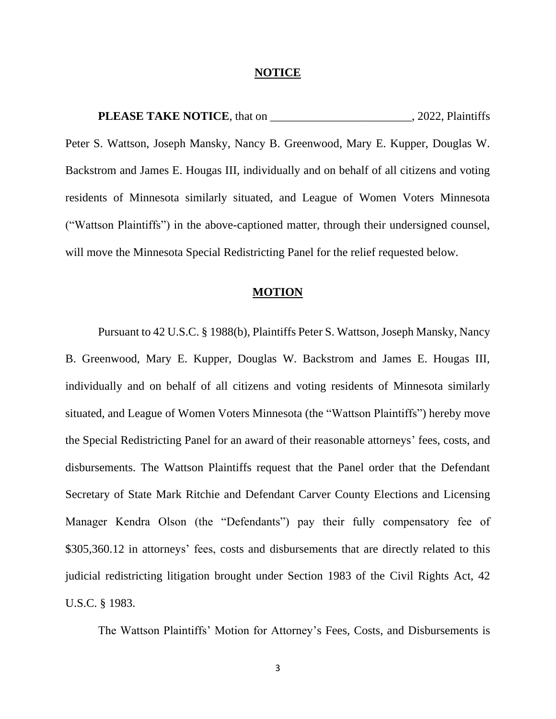#### **NOTICE**

**PLEASE TAKE NOTICE**, that on \_\_\_\_\_\_\_\_\_\_\_\_\_\_\_\_\_\_\_\_\_\_\_\_\_, 2022, Plaintiffs Peter S. Wattson, Joseph Mansky, Nancy B. Greenwood, Mary E. Kupper, Douglas W. Backstrom and James E. Hougas III, individually and on behalf of all citizens and voting residents of Minnesota similarly situated, and League of Women Voters Minnesota ("Wattson Plaintiffs") in the above-captioned matter, through their undersigned counsel, will move the Minnesota Special Redistricting Panel for the relief requested below.

#### **MOTION**

Pursuant to 42 U.S.C. § 1988(b), Plaintiffs Peter S. Wattson, Joseph Mansky, Nancy B. Greenwood, Mary E. Kupper, Douglas W. Backstrom and James E. Hougas III, individually and on behalf of all citizens and voting residents of Minnesota similarly situated, and League of Women Voters Minnesota (the "Wattson Plaintiffs") hereby move the Special Redistricting Panel for an award of their reasonable attorneys' fees, costs, and disbursements. The Wattson Plaintiffs request that the Panel order that the Defendant Secretary of State Mark Ritchie and Defendant Carver County Elections and Licensing Manager Kendra Olson (the "Defendants") pay their fully compensatory fee of \$305,360.12 in attorneys' fees, costs and disbursements that are directly related to this judicial redistricting litigation brought under Section 1983 of the Civil Rights Act, 42 U.S.C. § 1983.

The Wattson Plaintiffs' Motion for Attorney's Fees, Costs, and Disbursements is